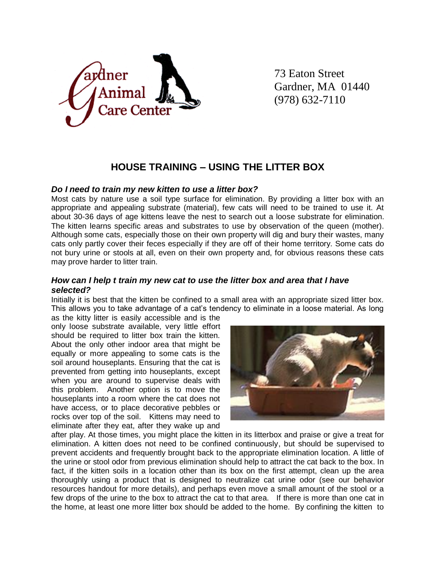

73 Eaton Street Gardner, MA 01440 (978) 632-7110

# **HOUSE TRAINING – USING THE LITTER BOX**

#### *Do I need to train my new kitten to use a litter box?*

Most cats by nature use a soil type surface for elimination. By providing a litter box with an appropriate and appealing substrate (material), few cats will need to be trained to use it. At about 30-36 days of age kittens leave the nest to search out a loose substrate for elimination. The kitten learns specific areas and substrates to use by observation of the queen (mother). Although some cats, especially those on their own property will dig and bury their wastes, many cats only partly cover their feces especially if they are off of their home territory. Some cats do not bury urine or stools at all, even on their own property and, for obvious reasons these cats may prove harder to litter train.

## *How can I help t train my new cat to use the litter box and area that I have selected?*

Initially it is best that the kitten be confined to a small area with an appropriate sized litter box. This allows you to take advantage of a cat's tendency to eliminate in a loose material. As long

as the kitty litter is easily accessible and is the only loose substrate available, very little effort should be required to litter box train the kitten. About the only other indoor area that might be equally or more appealing to some cats is the soil around houseplants. Ensuring that the cat is prevented from getting into houseplants, except when you are around to supervise deals with this problem. Another option is to move the houseplants into a room where the cat does not have access, or to place decorative pebbles or rocks over top of the soil. Kittens may need to eliminate after they eat, after they wake up and



after play. At those times, you might place the kitten in its litterbox and praise or give a treat for elimination. A kitten does not need to be confined continuously, but should be supervised to prevent accidents and frequently brought back to the appropriate elimination location. A little of the urine or stool odor from previous elimination should help to attract the cat back to the box. In fact, if the kitten soils in a location other than its box on the first attempt, clean up the area thoroughly using a product that is designed to neutralize cat urine odor (see our behavior resources handout for more details), and perhaps even move a small amount of the stool or a few drops of the urine to the box to attract the cat to that area. If there is more than one cat in the home, at least one more litter box should be added to the home. By confining the kitten to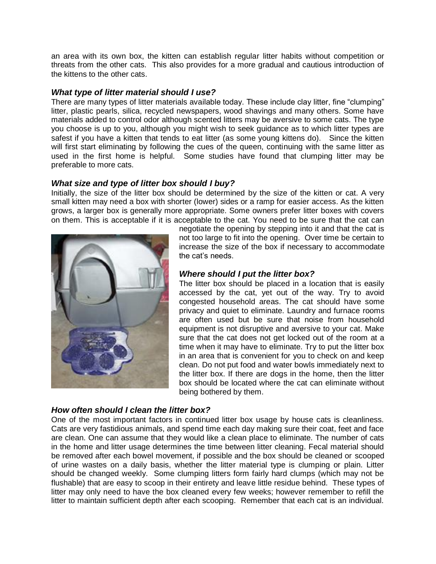an area with its own box, the kitten can establish regular litter habits without competition or threats from the other cats. This also provides for a more gradual and cautious introduction of the kittens to the other cats.

### *What type of litter material should I use?*

There are many types of litter materials available today. These include clay litter, fine "clumping" litter, plastic pearls, silica, recycled newspapers, wood shavings and many others. Some have materials added to control odor although scented litters may be aversive to some cats. The type you choose is up to you, although you might wish to seek guidance as to which litter types are safest if you have a kitten that tends to eat litter (as some young kittens do). Since the kitten will first start eliminating by following the cues of the queen, continuing with the same litter as used in the first home is helpful. Some studies have found that clumping litter may be preferable to more cats.

# *What size and type of litter box should I buy?*

Initially, the size of the litter box should be determined by the size of the kitten or cat. A very small kitten may need a box with shorter (lower) sides or a ramp for easier access. As the kitten grows, a larger box is generally more appropriate. Some owners prefer litter boxes with covers on them. This is acceptable if it is acceptable to the cat. You need to be sure that the cat can



negotiate the opening by stepping into it and that the cat is not too large to fit into the opening. Over time be certain to increase the size of the box if necessary to accommodate the cat's needs.

# *Where should I put the litter box?*

The litter box should be placed in a location that is easily accessed by the cat, yet out of the way. Try to avoid congested household areas. The cat should have some privacy and quiet to eliminate. Laundry and furnace rooms are often used but be sure that noise from household equipment is not disruptive and aversive to your cat. Make sure that the cat does not get locked out of the room at a time when it may have to eliminate. Try to put the litter box in an area that is convenient for you to check on and keep clean. Do not put food and water bowls immediately next to the litter box. If there are dogs in the home, then the litter box should be located where the cat can eliminate without being bothered by them.

## *How often should I clean the litter box?*

One of the most important factors in continued litter box usage by house cats is cleanliness. Cats are very fastidious animals, and spend time each day making sure their coat, feet and face are clean. One can assume that they would like a clean place to eliminate. The number of cats in the home and litter usage determines the time between litter cleaning. Fecal material should be removed after each bowel movement, if possible and the box should be cleaned or scooped of urine wastes on a daily basis, whether the litter material type is clumping or plain. Litter should be changed weekly. Some clumping litters form fairly hard clumps (which may not be flushable) that are easy to scoop in their entirety and leave little residue behind. These types of litter may only need to have the box cleaned every few weeks; however remember to refill the litter to maintain sufficient depth after each scooping. Remember that each cat is an individual.